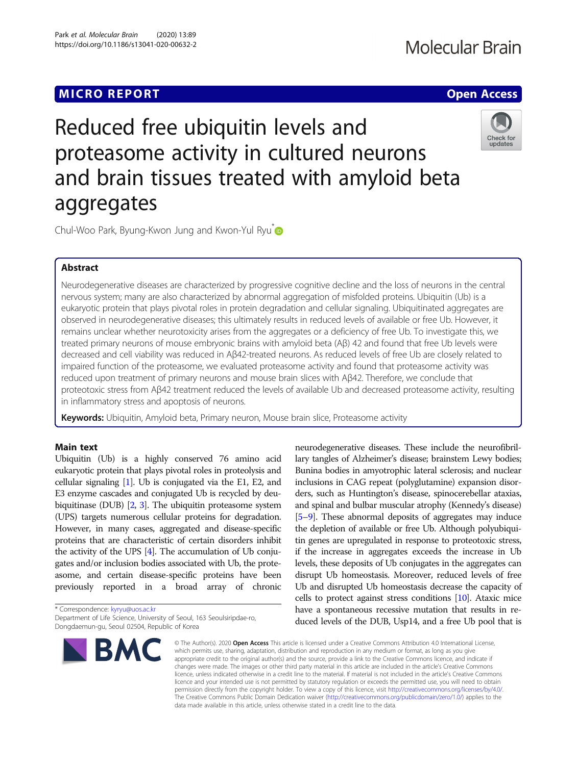# **MICRO REPORT CONSTRUCTION CONTROL**

# **Molecular Brain**

# Reduced free ubiquitin levels and proteasome activity in cultured neurons and brain tissues treated with amyloid beta aggregates



Chul-Woo Park, Byung-Kwon Jung and Kwon-Yul Ryu<sup>t</sup>

## Abstract

Neurodegenerative diseases are characterized by progressive cognitive decline and the loss of neurons in the central nervous system; many are also characterized by abnormal aggregation of misfolded proteins. Ubiquitin (Ub) is a eukaryotic protein that plays pivotal roles in protein degradation and cellular signaling. Ubiquitinated aggregates are observed in neurodegenerative diseases; this ultimately results in reduced levels of available or free Ub. However, it remains unclear whether neurotoxicity arises from the aggregates or a deficiency of free Ub. To investigate this, we treated primary neurons of mouse embryonic brains with amyloid beta (Aβ) 42 and found that free Ub levels were decreased and cell viability was reduced in Aβ42-treated neurons. As reduced levels of free Ub are closely related to impaired function of the proteasome, we evaluated proteasome activity and found that proteasome activity was reduced upon treatment of primary neurons and mouse brain slices with Aβ42. Therefore, we conclude that proteotoxic stress from Aβ42 treatment reduced the levels of available Ub and decreased proteasome activity, resulting in inflammatory stress and apoptosis of neurons.

Keywords: Ubiquitin, Amyloid beta, Primary neuron, Mouse brain slice, Proteasome activity

### Main text

Ubiquitin (Ub) is a highly conserved 76 amino acid eukaryotic protein that plays pivotal roles in proteolysis and cellular signaling [[1](#page-3-0)]. Ub is conjugated via the E1, E2, and E3 enzyme cascades and conjugated Ub is recycled by deubiquitinase (DUB) [\[2,](#page-3-0) [3\]](#page-3-0). The ubiquitin proteasome system (UPS) targets numerous cellular proteins for degradation. However, in many cases, aggregated and disease-specific proteins that are characteristic of certain disorders inhibit the activity of the UPS [\[4\]](#page-3-0). The accumulation of Ub conjugates and/or inclusion bodies associated with Ub, the proteasome, and certain disease-specific proteins have been previously reported in a broad array of chronic

\* Correspondence: [kyryu@uos.ac.kr](mailto:kyryu@uos.ac.kr)

Department of Life Science, University of Seoul, 163 Seoulsiripdae-ro, Dongdaemun-gu, Seoul 02504, Republic of Korea



neurodegenerative diseases. These include the neurofibrillary tangles of Alzheimer's disease; brainstem Lewy bodies; Bunina bodies in amyotrophic lateral sclerosis; and nuclear inclusions in CAG repeat (polyglutamine) expansion disorders, such as Huntington's disease, spinocerebellar ataxias, and spinal and bulbar muscular atrophy (Kennedy's disease) [[5](#page-3-0)–[9\]](#page-3-0). These abnormal deposits of aggregates may induce the depletion of available or free Ub. Although polyubiquitin genes are upregulated in response to proteotoxic stress, if the increase in aggregates exceeds the increase in Ub levels, these deposits of Ub conjugates in the aggregates can disrupt Ub homeostasis. Moreover, reduced levels of free Ub and disrupted Ub homeostasis decrease the capacity of cells to protect against stress conditions [\[10\]](#page-3-0). Ataxic mice have a spontaneous recessive mutation that results in reduced levels of the DUB, Usp14, and a free Ub pool that is

© The Author(s), 2020 **Open Access** This article is licensed under a Creative Commons Attribution 4.0 International License, which permits use, sharing, adaptation, distribution and reproduction in any medium or format, as long as you give appropriate credit to the original author(s) and the source, provide a link to the Creative Commons licence, and indicate if changes were made. The images or other third party material in this article are included in the article's Creative Commons licence, unless indicated otherwise in a credit line to the material. If material is not included in the article's Creative Commons licence and your intended use is not permitted by statutory regulation or exceeds the permitted use, you will need to obtain permission directly from the copyright holder. To view a copy of this licence, visit [http://creativecommons.org/licenses/by/4.0/.](http://creativecommons.org/licenses/by/4.0/) The Creative Commons Public Domain Dedication waiver [\(http://creativecommons.org/publicdomain/zero/1.0/](http://creativecommons.org/publicdomain/zero/1.0/)) applies to the data made available in this article, unless otherwise stated in a credit line to the data.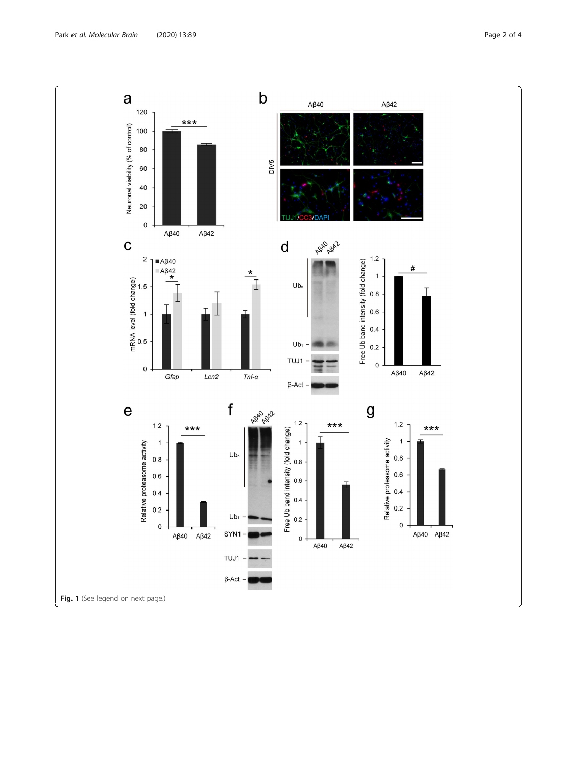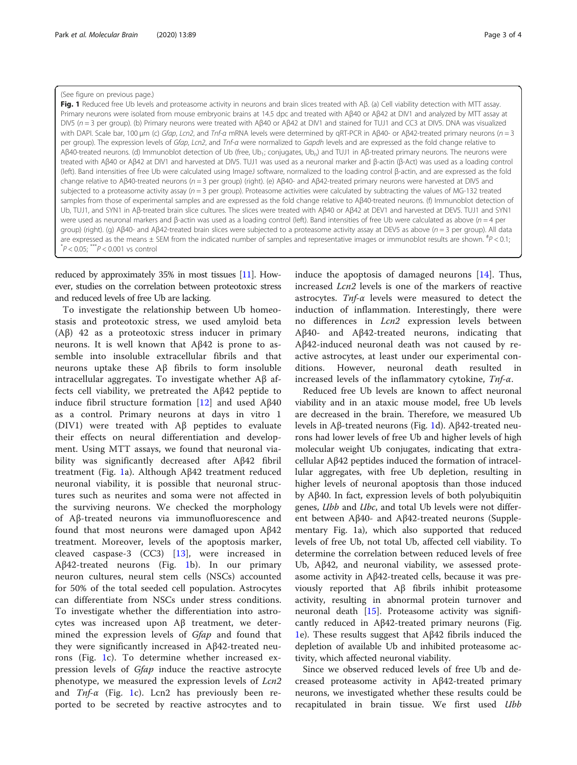#### <span id="page-2-0"></span>(See figure on previous page.)

Fig. 1 Reduced free Ub levels and proteasome activity in neurons and brain slices treated with Aβ. (a) Cell viability detection with MTT assay. Primary neurons were isolated from mouse embryonic brains at 14.5 dpc and treated with Aβ40 or Aβ42 at DIV1 and analyzed by MTT assay at DIV5 (n = 3 per group). (b) Primary neurons were treated with Aβ40 or Aβ42 at DIV1 and stained for TUJ1 and CC3 at DIV5. DNA was visualized with DAPI. Scale bar, 100 μm (c) Gfap, Lcn2, and Tnf-α mRNA levels were determined by qRT-PCR in Aβ40- or Aβ42-treated primary neurons (n = 3 per group). The expression levels of Gfap, Lcn2, and Tnf-a were normalized to Gapdh levels and are expressed as the fold change relative to Aβ40-treated neurons. (d) Immunoblot detection of Ub (free, Ub<sub>1</sub>; conjugates, Ub<sub>n</sub>) and TUJ1 in Aβ-treated primary neurons. The neurons were treated with Aβ40 or Aβ42 at DIV1 and harvested at DIV5. TUJ1 was used as a neuronal marker and β-actin (β-Act) was used as a loading control (left). Band intensities of free Ub were calculated using ImageJ software, normalized to the loading control β-actin, and are expressed as the fold change relative to Aβ40-treated neurons (n = 3 per group) (right). (e) Aβ40- and Aβ42-treated primary neurons were harvested at DIV5 and subjected to a proteasome activity assay ( $n = 3$  per group). Proteasome activities were calculated by subtracting the values of MG-132 treated samples from those of experimental samples and are expressed as the fold change relative to Aβ40-treated neurons. (f) Immunoblot detection of Ub, TUJ1, and SYN1 in Aβ-treated brain slice cultures. The slices were treated with Aβ40 or Aβ42 at DEV1 and harvested at DEV5. TUJ1 and SYN1 were used as neuronal markers and β-actin was used as a loading control (left). Band intensities of free Ub were calculated as above (n = 4 per group) (right). (g) Aβ40- and Aβ42-treated brain slices were subjected to a proteasome activity assay at DEV5 as above (n = 3 per group). All data are expressed as the means  $\pm$  SEM from the indicated number of samples and representative images or immunoblot results are shown.  ${}^{#}P$  < 0.1;  $*P < 0.05$ ;  $**P < 0.001$  vs control

reduced by approximately 35% in most tissues [\[11](#page-3-0)]. However, studies on the correlation between proteotoxic stress and reduced levels of free Ub are lacking.

To investigate the relationship between Ub homeostasis and proteotoxic stress, we used amyloid beta (Aβ) 42 as a proteotoxic stress inducer in primary neurons. It is well known that Aβ42 is prone to assemble into insoluble extracellular fibrils and that neurons uptake these Aβ fibrils to form insoluble intracellular aggregates. To investigate whether Aβ affects cell viability, we pretreated the Aβ42 peptide to induce fibril structure formation [\[12](#page-3-0)] and used Aβ40 as a control. Primary neurons at days in vitro 1 (DIV1) were treated with Aβ peptides to evaluate their effects on neural differentiation and development. Using MTT assays, we found that neuronal viability was significantly decreased after Aβ42 fibril treatment (Fig. 1a). Although Aβ42 treatment reduced neuronal viability, it is possible that neuronal structures such as neurites and soma were not affected in the surviving neurons. We checked the morphology of Aβ-treated neurons via immunofluorescence and found that most neurons were damaged upon Aβ42 treatment. Moreover, levels of the apoptosis marker, cleaved caspase-3 (CC3) [[13\]](#page-3-0), were increased in Aβ42-treated neurons (Fig. 1b). In our primary neuron cultures, neural stem cells (NSCs) accounted for 50% of the total seeded cell population. Astrocytes can differentiate from NSCs under stress conditions. To investigate whether the differentiation into astrocytes was increased upon Aβ treatment, we determined the expression levels of *Gfap* and found that they were significantly increased in Aβ42-treated neurons (Fig. 1c). To determine whether increased expression levels of *Gfap* induce the reactive astrocyte phenotype, we measured the expression levels of Lcn2 and  $Tnf-\alpha$  (Fig. 1c). Lcn2 has previously been reported to be secreted by reactive astrocytes and to

induce the apoptosis of damaged neurons [[14\]](#page-3-0). Thus, increased Lcn2 levels is one of the markers of reactive astrocytes. Tnf-α levels were measured to detect the induction of inflammation. Interestingly, there were no differences in Lcn2 expression levels between Aβ40- and Aβ42-treated neurons, indicating that Aβ42-induced neuronal death was not caused by reactive astrocytes, at least under our experimental conditions. However, neuronal death resulted in increased levels of the inflammatory cytokine,  $Tnf-\alpha$ .

Reduced free Ub levels are known to affect neuronal viability and in an ataxic mouse model, free Ub levels are decreased in the brain. Therefore, we measured Ub levels in Aβ-treated neurons (Fig. 1d). Aβ42-treated neurons had lower levels of free Ub and higher levels of high molecular weight Ub conjugates, indicating that extracellular Aβ42 peptides induced the formation of intracellular aggregates, with free Ub depletion, resulting in higher levels of neuronal apoptosis than those induced by Aβ40. In fact, expression levels of both polyubiquitin genes, Ubb and Ubc, and total Ub levels were not different between Aβ40- and Aβ42-treated neurons (Supplementary Fig. 1a), which also supported that reduced levels of free Ub, not total Ub, affected cell viability. To determine the correlation between reduced levels of free Ub, Aβ42, and neuronal viability, we assessed proteasome activity in Aβ42-treated cells, because it was previously reported that Aβ fibrils inhibit proteasome activity, resulting in abnormal protein turnover and neuronal death [[15\]](#page-3-0). Proteasome activity was significantly reduced in Aβ42-treated primary neurons (Fig. 1e). These results suggest that Aβ42 fibrils induced the depletion of available Ub and inhibited proteasome activity, which affected neuronal viability.

Since we observed reduced levels of free Ub and decreased proteasome activity in Aβ42-treated primary neurons, we investigated whether these results could be recapitulated in brain tissue. We first used Ubb